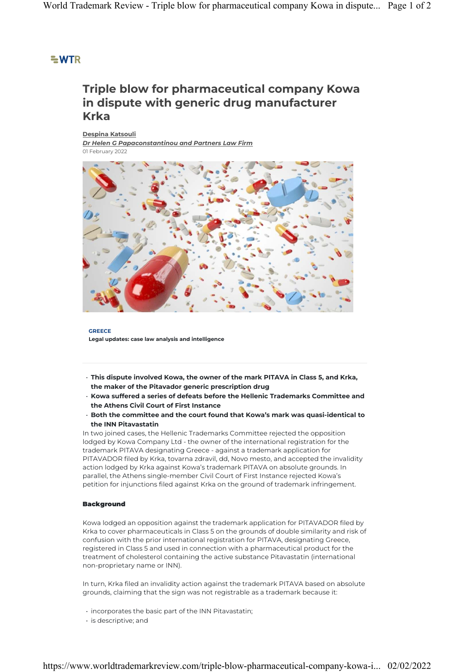## $=$  WTR

# **Triple blow for pharmaceutical company Kowa in dispute with generic drug manufacturer Krka**

**Despina Katsouli** *Dr Helen G Papaconstantinou and Partners Law Firm* 01 February 2022



**GREECE Legal updates: case law analysis and intelligence**

- **This dispute involved Kowa, the owner of the mark PITAVA in Class 5, and Krka, the maker of the Pitavador generic prescription drug**
- **Kowa suffered a series of defeats before the Hellenic Trademarks Committee and the Athens Civil Court of First Instance**
- **Both the committee and the court found that Kowa's mark was quasi-identical to the INN Pitavastatin**

In two joined cases, the Hellenic Trademarks Committee rejected the opposition lodged by Kowa Company Ltd - the owner of the international registration for the trademark PITAVA designating Greece - against a trademark application for PITAVADOR filed by Krka, tovarna zdravil, dd, Novo mesto, and accepted the invalidity action lodged by Krka against Kowa's trademark PITAVA on absolute grounds. In parallel, the Athens single-member Civil Court of First Instance rejected Kowa's petition for injunctions filed against Krka on the ground of trademark infringement.

### **Background**

Kowa lodged an opposition against the trademark application for PITAVADOR filed by Krka to cover pharmaceuticals in Class 5 on the grounds of double similarity and risk of confusion with the prior international registration for PITAVA, designating Greece, registered in Class 5 and used in connection with a pharmaceutical product for the treatment of cholesterol containing the active substance Pitavastatin (international non-proprietary name or INN).

In turn, Krka filed an invalidity action against the trademark PITAVA based on absolute grounds, claiming that the sign was not registrable as a trademark because it:

- incorporates the basic part of the INN Pitavastatin;
- is descriptive; and